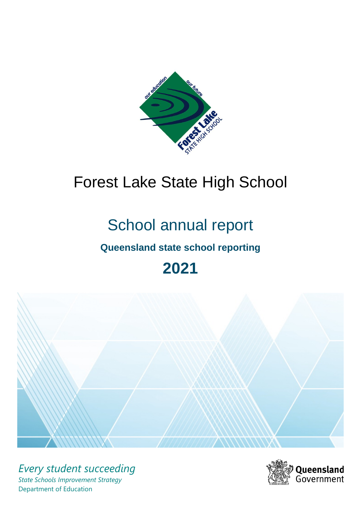

# Forest Lake State High School

# School annual report

# **Queensland state school reporting**

# **2021**



*Every student succeeding State Schools Improvement Strategy* Department of Education

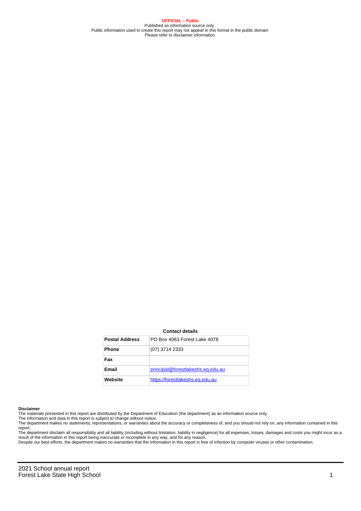**OFFICIAL – Public** Published as information source only. Public information used to create this report may not appear in this format in the public domain Please refer to disclaimer information.

#### **Contact details**

| <b>Postal Address</b> | PO Box 4063 Forest Lake 4078      |
|-----------------------|-----------------------------------|
| <b>Phone</b>          | (07) 3714 2333                    |
| Fax                   |                                   |
| Email                 | principal@forestlakeshs.eq.edu.au |
| Website               | https://forestlakeshs.eg.edu.au   |

#### **Disclaimer**

The materials presented in this report are distributed by the Department of Education (the department) as an information source only.

The information and data in this report is subject to change without notice.<br>The department makes no statements, representations, or warranties about the accuracy or completeness of, and you should not rely on, any informa report. The department disclaim all responsibility and all liability (including without limitation, liability in negligence) for all expenses, losses, damages and costs you might incur as a

result of the information in this report being inaccurate or incomplete in any way, and for any reason.

Despite our best efforts, the department makes no warranties that the information in this report is free of infection by computer viruses or other contamination.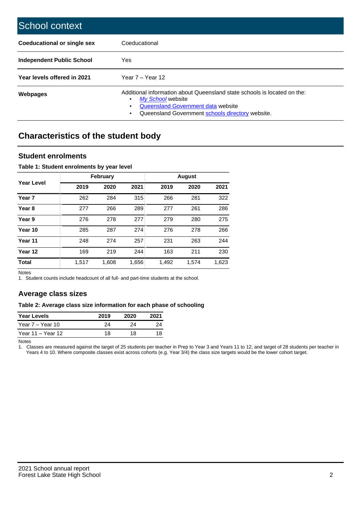| School context                     |                                                                                                                                                                                                   |
|------------------------------------|---------------------------------------------------------------------------------------------------------------------------------------------------------------------------------------------------|
| <b>Coeducational or single sex</b> | Coeducational                                                                                                                                                                                     |
| Independent Public School          | <b>Yes</b>                                                                                                                                                                                        |
| Year levels offered in 2021        | Year $7 -$ Year 12                                                                                                                                                                                |
| Webpages                           | Additional information about Queensland state schools is located on the:<br>My School website<br>٠<br>Queensland Government data website<br>Queensland Government schools directory website.<br>٠ |

# **Characteristics of the student body**

## **Student enrolments**

### **Table 1: Student enrolments by year level**

|                   |       | <b>February</b> |       |       | <b>August</b> |       |
|-------------------|-------|-----------------|-------|-------|---------------|-------|
| <b>Year Level</b> | 2019  | 2020            | 2021  | 2019  | 2020          | 2021  |
| Year <sub>7</sub> | 262   | 284             | 315   | 266   | 281           | 322   |
| Year <sub>8</sub> | 277   | 266             | 289   | 277   | 261           | 286   |
| Year 9            | 276   | 278             | 277   | 279   | 280           | 275   |
| Year 10           | 285   | 287             | 274   | 276   | 278           | 266   |
| Year 11           | 248   | 274             | 257   | 231   | 263           | 244   |
| Year 12           | 169   | 219             | 244   | 163   | 211           | 230   |
| <b>Total</b>      | 1,517 | 1,608           | 1,656 | 1,492 | 1,574         | 1,623 |

Notes

1. Student counts include headcount of all full- and part-time students at the school.

## **Average class sizes**

#### **Table 2: Average class size information for each phase of schooling**

| <b>Year Levels</b> | 2019 | 2020 | 2021 |
|--------------------|------|------|------|
| Year 7 – Year 10   | 24   | 24   | つハ   |
| Year 11 – Year 12  | 18   | 18   | 18   |

Notes

1. Classes are measured against the target of 25 students per teacher in Prep to Year 3 and Years 11 to 12, and target of 28 students per teacher in Years 4 to 10. Where composite classes exist across cohorts (e.g. Year 3/4) the class size targets would be the lower cohort target.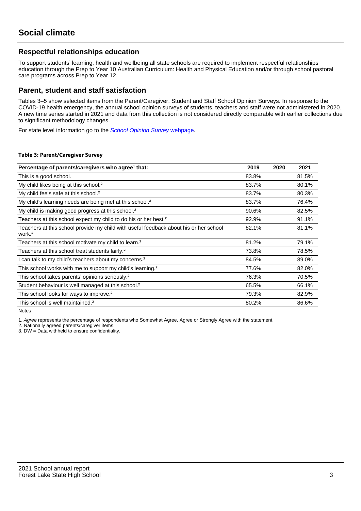## **Respectful relationships education**

To support students' learning, health and wellbeing all state schools are required to implement respectful relationships education through the Prep to Year 10 Australian Curriculum: Health and Physical Education and/or through school pastoral care programs across Prep to Year 12.

## **Parent, student and staff satisfaction**

Tables 3–5 show selected items from the Parent/Caregiver, Student and Staff School Opinion Surveys. In response to the COVID-19 health emergency, the annual school opinion surveys of students, teachers and staff were not administered in 2020. A new time series started in 2021 and data from this collection is not considered directly comparable with earlier collections due to significant methodology changes.

For state level information go to the **[School Opinion Survey](https://qed.qld.gov.au/publications/reports/statistics/schooling/schools/schoolopinionsurvey) webpage**.

#### **Table 3: Parent/Caregiver Survey**

| Percentage of parents/caregivers who agree <sup>1</sup> that:                                               | 2019  | 2020 | 2021  |
|-------------------------------------------------------------------------------------------------------------|-------|------|-------|
| This is a good school.                                                                                      | 83.8% |      | 81.5% |
| My child likes being at this school. <sup>2</sup>                                                           | 83.7% |      | 80.1% |
| My child feels safe at this school. <sup>2</sup>                                                            | 83.7% |      | 80.3% |
| My child's learning needs are being met at this school. <sup>2</sup>                                        | 83.7% |      | 76.4% |
| My child is making good progress at this school. <sup>2</sup>                                               | 90.6% |      | 82.5% |
| Teachers at this school expect my child to do his or her best. <sup>2</sup>                                 | 92.9% |      | 91.1% |
| Teachers at this school provide my child with useful feedback about his or her school<br>work. <sup>2</sup> | 82.1% |      | 81.1% |
| Teachers at this school motivate my child to learn. <sup>2</sup>                                            | 81.2% |      | 79.1% |
| Teachers at this school treat students fairly. <sup>2</sup>                                                 | 73.8% |      | 78.5% |
| can talk to my child's teachers about my concerns. <sup>2</sup>                                             | 84.5% |      | 89.0% |
| This school works with me to support my child's learning. <sup>2</sup>                                      | 77.6% |      | 82.0% |
| This school takes parents' opinions seriously. <sup>2</sup>                                                 | 76.3% |      | 70.5% |
| Student behaviour is well managed at this school. <sup>2</sup>                                              | 65.5% |      | 66.1% |
| This school looks for ways to improve. <sup>2</sup>                                                         | 79.3% |      | 82.9% |
| This school is well maintained. <sup>2</sup>                                                                | 80.2% |      | 86.6% |

Notes

1. Agree represents the percentage of respondents who Somewhat Agree, Agree or Strongly Agree with the statement.

2. Nationally agreed parents/caregiver items.

3. DW = Data withheld to ensure confidentiality.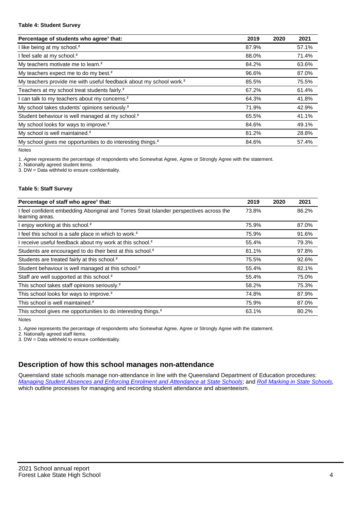#### **Table 4: Student Survey**

| Percentage of students who agree <sup>1</sup> that:                            | 2019  | 2020 | 2021  |
|--------------------------------------------------------------------------------|-------|------|-------|
| I like being at my school. <sup>2</sup>                                        | 87.9% |      | 57.1% |
| I feel safe at my school. <sup>2</sup>                                         | 88.0% |      | 71.4% |
| My teachers motivate me to learn. <sup>2</sup>                                 | 84.2% |      | 63.6% |
| My teachers expect me to do my best. <sup>2</sup>                              | 96.6% |      | 87.0% |
| My teachers provide me with useful feedback about my school work. <sup>2</sup> | 85.5% |      | 75.5% |
| Teachers at my school treat students fairly. <sup>2</sup>                      | 67.2% |      | 61.4% |
| can talk to my teachers about my concerns. <sup>2</sup>                        | 64.3% |      | 41.8% |
| My school takes students' opinions seriously. <sup>2</sup>                     | 71.9% |      | 42.9% |
| Student behaviour is well managed at my school. <sup>2</sup>                   | 65.5% |      | 41.1% |
| My school looks for ways to improve. <sup>2</sup>                              | 84.6% |      | 49.1% |
| My school is well maintained. <sup>2</sup>                                     | 81.2% |      | 28.8% |
| My school gives me opportunities to do interesting things. <sup>2</sup>        | 84.6% |      | 57.4% |

Notes

1. Agree represents the percentage of respondents who Somewhat Agree, Agree or Strongly Agree with the statement.

2. Nationally agreed student items.

3. DW = Data withheld to ensure confidentiality.

### **Table 5: Staff Survey**

| Percentage of staff who agree <sup>1</sup> that:                                                            | 2019  | 2020 | 2021  |
|-------------------------------------------------------------------------------------------------------------|-------|------|-------|
| I feel confident embedding Aboriginal and Torres Strait Islander perspectives across the<br>learning areas. | 73.8% |      | 86.2% |
| I enjoy working at this school. <sup>2</sup>                                                                | 75.9% |      | 87.0% |
| I feel this school is a safe place in which to work. <sup>2</sup>                                           | 75.9% |      | 91.6% |
| I receive useful feedback about my work at this school. <sup>2</sup>                                        | 55.4% |      | 79.3% |
| Students are encouraged to do their best at this school. <sup>2</sup>                                       | 81.1% |      | 97.8% |
| Students are treated fairly at this school. <sup>2</sup>                                                    | 75.5% |      | 92.6% |
| Student behaviour is well managed at this school. <sup>2</sup>                                              | 55.4% |      | 82.1% |
| Staff are well supported at this school. <sup>2</sup>                                                       | 55.4% |      | 75.0% |
| This school takes staff opinions seriously. <sup>2</sup>                                                    | 58.2% |      | 75.3% |
| This school looks for ways to improve. <sup>2</sup>                                                         | 74.8% |      | 87.9% |
| This school is well maintained. <sup>2</sup>                                                                | 75.9% |      | 87.0% |
| This school gives me opportunities to do interesting things. <sup>2</sup>                                   | 63.1% |      | 80.2% |

Notes

1. Agree represents the percentage of respondents who Somewhat Agree, Agree or Strongly Agree with the statement.

2. Nationally agreed staff items.

3. DW = Data withheld to ensure confidentiality.

# **Description of how this school manages non-attendance**

Queensland state schools manage non-attendance in line with the Queensland Department of Education procedures: [Managing Student Absences and Enforcing Enrolment and Attendance at State Schools](https://ppr.qed.qld.gov.au/pp/managing-student-absences-and-enforcing-enrolment-and-attendance-at-state-schools-procedure); and [Roll Marking in State Schools,](https://ppr.qed.qld.gov.au/pp/roll-marking-in-state-schools-procedure) which outline processes for managing and recording student attendance and absenteeism.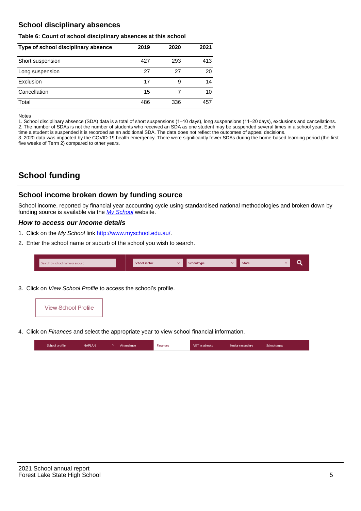# **School disciplinary absences**

#### **Table 6: Count of school disciplinary absences at this school**

| Type of school disciplinary absence | 2019 | 2020 | 2021 |
|-------------------------------------|------|------|------|
| Short suspension                    | 427  | 293  | 413  |
| Long suspension                     | 27   | 27   | 20   |
| Exclusion                           | 17   | 9    | 14   |
| Cancellation                        | 15   |      | 10   |
| Total                               | 486  | 336  | 457  |

#### Notes

1. School disciplinary absence (SDA) data is a total of short suspensions (1–10 days), long suspensions (11–20 days), exclusions and cancellations. 2. The number of SDAs is not the number of students who received an SDA as one student may be suspended several times in a school year. Each time a student is suspended it is recorded as an additional SDA. The data does not reflect the outcomes of appeal decisions.

3. 2020 data was impacted by the COVID-19 health emergency. There were significantly fewer SDAs during the home-based learning period (the first five weeks of Term 2) compared to other years.

# **School funding**

## **School income broken down by funding source**

School income, reported by financial year accounting cycle using standardised national methodologies and broken down by funding source is available via the [My School](http://www.myschool.edu.au/) website.

## **How to access our income details**

- 1. Click on the My School link <http://www.myschool.edu.au/>.
- 2. Enter the school name or suburb of the school you wish to search.

| Search by school name or suburb | <b>School sector</b> | School type | <b>State</b> |  |
|---------------------------------|----------------------|-------------|--------------|--|
|                                 |                      |             |              |  |

3. Click on View School Profile to access the school's profile.



4. Click on Finances and select the appropriate year to view school financial information.

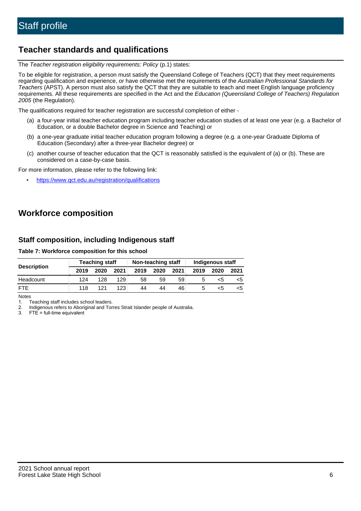# **Teacher standards and qualifications**

The Teacher registration eligibility requirements: Policy (p.1) states:

To be eligible for registration, a person must satisfy the Queensland College of Teachers (QCT) that they meet requirements regarding qualification and experience, or have otherwise met the requirements of the Australian Professional Standards for Teachers (APST). A person must also satisfy the QCT that they are suitable to teach and meet English language proficiency requirements. All these requirements are specified in the Act and the Education (Queensland College of Teachers) Regulation 2005 (the Regulation).

The qualifications required for teacher registration are successful completion of either -

- (a) a four-year initial teacher education program including teacher education studies of at least one year (e.g. a Bachelor of Education, or a double Bachelor degree in Science and Teaching) or
- (b) a one-year graduate initial teacher education program following a degree (e.g. a one-year Graduate Diploma of Education (Secondary) after a three-year Bachelor degree) or
- (c) another course of teacher education that the QCT is reasonably satisfied is the equivalent of (a) or (b). These are considered on a case-by-case basis.

For more information, please refer to the following link:

• <https://www.qct.edu.au/registration/qualifications>

# **Workforce composition**

## **Staff composition, including Indigenous staff**

### **Table 7: Workforce composition for this school**

|                    | <b>Teaching staff</b> |      |      | Non-teaching staff |      |      | Indigenous staff |      |      |
|--------------------|-----------------------|------|------|--------------------|------|------|------------------|------|------|
| <b>Description</b> | 2019                  | 2020 | 2021 | 2019               | 2020 | 2021 | 2019             | 2020 | 2021 |
| Headcount          | 124                   | 128  | 129  | 58                 | 59   | 59   |                  | <5   |      |
| <b>FTE</b>         | 118                   | 121  | 123  | 44                 | 44   | 46   |                  | ה>   |      |

Notes

1. Teaching staff includes school leaders.

2. Indigenous refers to Aboriginal and Torres Strait Islander people of Australia.

3. FTE = full-time equivalent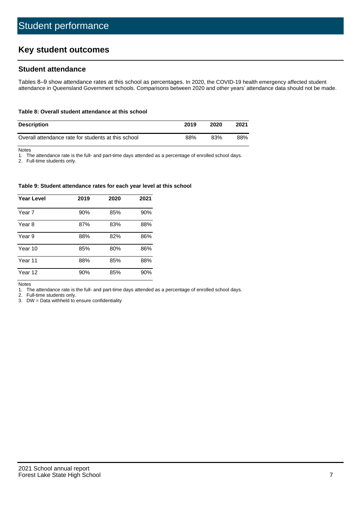# **Key student outcomes**

## **Student attendance**

Tables 8–9 show attendance rates at this school as percentages. In 2020, the COVID-19 health emergency affected student attendance in Queensland Government schools. Comparisons between 2020 and other years' attendance data should not be made.

#### **Table 8: Overall student attendance at this school**

| <b>Description</b>                                  | 2019 | 2020 | 2021 |
|-----------------------------------------------------|------|------|------|
| Overall attendance rate for students at this school | 88%  | 83%  | 88%  |

Notes

1. The attendance rate is the full- and part-time days attended as a percentage of enrolled school days.

2. Full-time students only.

#### **Table 9: Student attendance rates for each year level at this school**

| <b>Year Level</b> | 2019 | 2020 | 2021 |
|-------------------|------|------|------|
| Year 7            | 90%  | 85%  | 90%  |
| Year 8            | 87%  | 83%  | 88%  |
| Year 9            | 88%  | 82%  | 86%  |
| Year 10           | 85%  | 80%  | 86%  |
| Year 11           | 88%  | 85%  | 88%  |
| Year 12           | 90%  | 85%  | 90%  |

Notes

1. The attendance rate is the full- and part-time days attended as a percentage of enrolled school days.

2. Full-time students only.

3. DW = Data withheld to ensure confidentiality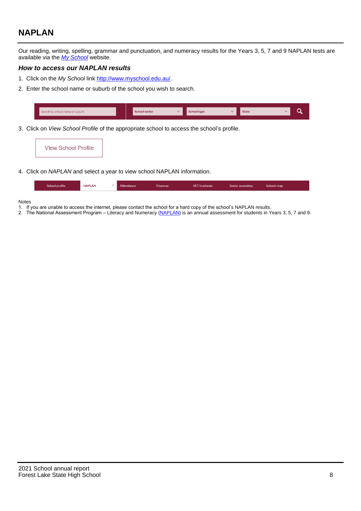# **NAPLAN**

Our reading, writing, spelling, grammar and punctuation, and numeracy results for the Years 3, 5, 7 and 9 NAPLAN tests are available via the [My School](http://www.myschool.edu.au/) website.

## **How to access our NAPLAN results**

- 1. Click on the My School link <http://www.myschool.edu.au/>.
- 2. Enter the school name or suburb of the school you wish to search.

| Search by school name or suburb | <b>School sector</b> | <b>School type</b>                        |          | <b>State</b> |  |
|---------------------------------|----------------------|-------------------------------------------|----------|--------------|--|
|                                 |                      |                                           |          |              |  |
|                                 |                      | $\sim$ $\sim$ $\sim$ $\sim$ $\sim$ $\sim$ | $\cdots$ |              |  |

3. Click on View School Profile of the appropriate school to access the school's profile.

| <b>View School Profile</b> |
|----------------------------|
|----------------------------|

4. Click on NAPLAN and select a year to view school NAPLAN information.

|  | School profile | <b>NAPLAN</b><br>$\sim$ 1 | Attendance | <b>Finances</b> | <b>VET</b> in schools | Senior secondary | Schools map |
|--|----------------|---------------------------|------------|-----------------|-----------------------|------------------|-------------|
|--|----------------|---------------------------|------------|-----------------|-----------------------|------------------|-------------|

#### Notes

- 1. If you are unable to access the internet, please contact the school for a hard copy of the school's NAPLAN results.
- 2. The National Assessment Program Literacy and Numeracy ([NAPLAN\)](http://www.nap.edu.au/naplan) is an annual assessment for students in Years 3, 5, 7 and 9.